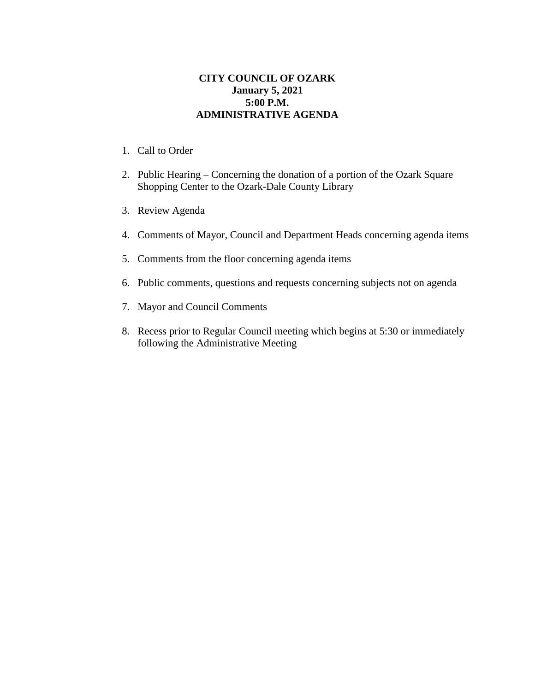## **CITY COUNCIL OF OZARK January 5, 2021 5:00 P.M. ADMINISTRATIVE AGENDA**

- 1. Call to Order
- 2. Public Hearing Concerning the donation of a portion of the Ozark Square Shopping Center to the Ozark-Dale County Library
- 3. Review Agenda
- 4. Comments of Mayor, Council and Department Heads concerning agenda items
- 5. Comments from the floor concerning agenda items
- 6. Public comments, questions and requests concerning subjects not on agenda
- 7. Mayor and Council Comments
- 8. Recess prior to Regular Council meeting which begins at 5:30 or immediately following the Administrative Meeting